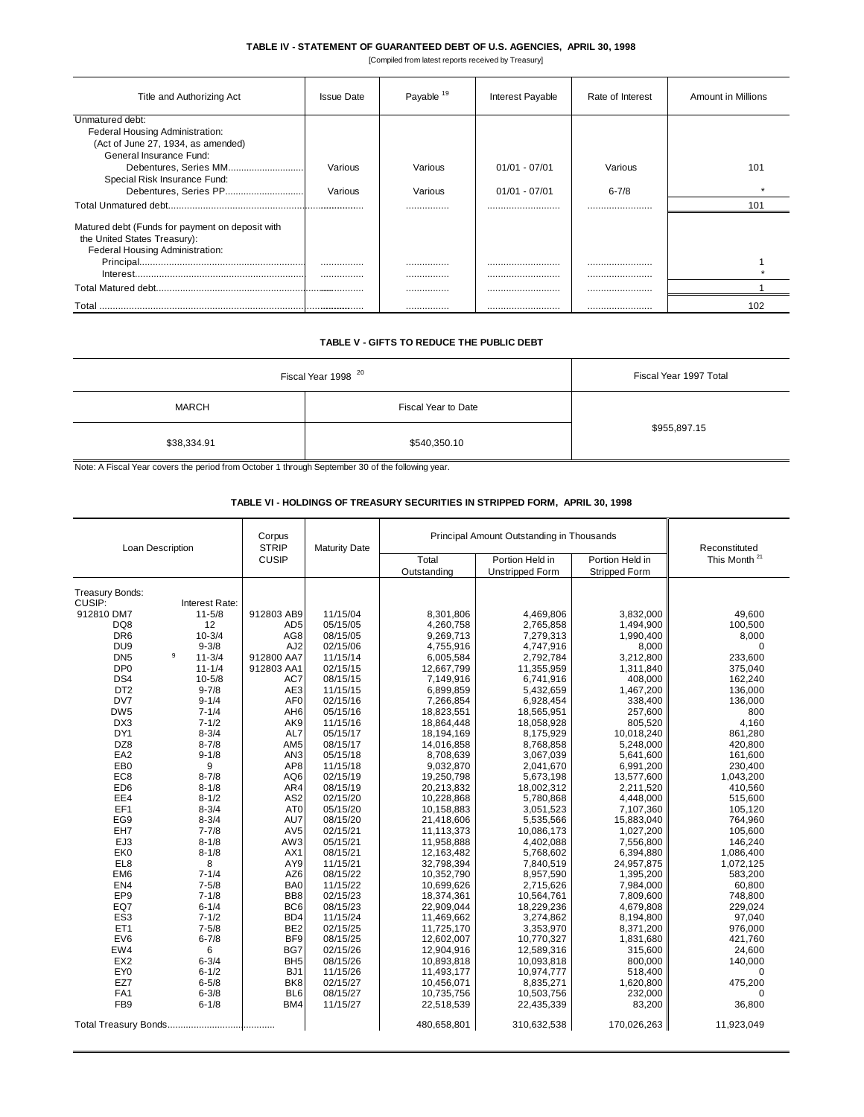## **TABLE IV - STATEMENT OF GUARANTEED DEBT OF U.S. AGENCIES, APRIL 30, 1998**

[Compiled from latest reports received by Treasury]

| Title and Authorizing Act                       | <b>Issue Date</b> | Payable <sup>19</sup> | Interest Payable | Rate of Interest | Amount in Millions |
|-------------------------------------------------|-------------------|-----------------------|------------------|------------------|--------------------|
| Unmatured debt:                                 |                   |                       |                  |                  |                    |
| Federal Housing Administration:                 |                   |                       |                  |                  |                    |
| (Act of June 27, 1934, as amended)              |                   |                       |                  |                  |                    |
| General Insurance Fund:                         |                   |                       |                  |                  |                    |
| Debentures, Series MM                           | Various           | Various               | $01/01 - 07/01$  | Various          | 101                |
| Special Risk Insurance Fund:                    |                   |                       |                  |                  |                    |
| Debentures, Series PP                           | Various           | Various               | $01/01 - 07/01$  | $6 - 7/8$        |                    |
|                                                 |                   |                       |                  |                  | 101                |
| Matured debt (Funds for payment on deposit with |                   |                       |                  |                  |                    |
| the United States Treasury):                    |                   |                       |                  |                  |                    |
| Federal Housing Administration:                 |                   |                       |                  |                  |                    |
|                                                 |                   |                       |                  |                  |                    |
|                                                 |                   |                       |                  |                  |                    |
|                                                 |                   |                       |                  |                  |                    |
|                                                 |                   |                       |                  |                  |                    |
|                                                 |                   |                       |                  |                  | 102                |

## **TABLE V - GIFTS TO REDUCE THE PUBLIC DEBT**

| Fiscal Year 1998 <sup>20</sup> | Fiscal Year 1997 Total |              |  |
|--------------------------------|------------------------|--------------|--|
| <b>MARCH</b>                   | Fiscal Year to Date    |              |  |
| \$38,334.91                    | \$540,350.10           | \$955,897.15 |  |

Note: A Fiscal Year covers the period from October 1 through September 30 of the following year.

## **TABLE VI - HOLDINGS OF TREASURY SECURITIES IN STRIPPED FORM, APRIL 30, 1998**

| Loan Description |                | Corpus<br><b>STRIP</b> | <b>Maturity Date</b> | Principal Amount Outstanding in Thousands |                        |                      | Reconstituted            |
|------------------|----------------|------------------------|----------------------|-------------------------------------------|------------------------|----------------------|--------------------------|
|                  |                | <b>CUSIP</b>           |                      | Total                                     | Portion Held in        | Portion Held in      | This Month <sup>21</sup> |
|                  |                |                        |                      | Outstanding                               | <b>Unstripped Form</b> | <b>Stripped Form</b> |                          |
|                  |                |                        |                      |                                           |                        |                      |                          |
| Treasury Bonds:  |                |                        |                      |                                           |                        |                      |                          |
| CUSIP:           | Interest Rate: |                        |                      |                                           |                        |                      |                          |
| 912810 DM7       | $11 - 5/8$     | 912803 AB9             | 11/15/04             | 8,301,806                                 | 4,469,806              | 3,832,000            | 49.600                   |
| DQ8              | 12             | AD <sub>5</sub>        | 05/15/05             | 4,260,758                                 | 2,765,858              | 1,494,900            | 100,500                  |
| DR <sub>6</sub>  | $10 - 3/4$     | AG8                    | 08/15/05             | 9,269,713                                 | 7,279,313              | 1,990,400            | 8,000                    |
| DU <sub>9</sub>  | $9 - 3/8$<br>9 | AJ <sub>2</sub>        | 02/15/06             | 4,755,916                                 | 4,747,916              | 8,000                | $\mathbf 0$              |
| DN <sub>5</sub>  | $11 - 3/4$     | 912800 AA7             | 11/15/14             | 6,005,584                                 | 2,792,784              | 3,212,800            | 233,600                  |
| DP <sub>0</sub>  | $11 - 1/4$     | 912803 AA1             | 02/15/15             | 12,667,799                                | 11,355,959             | 1,311,840            | 375,040                  |
| DS4              | $10 - 5/8$     | AC7                    | 08/15/15             | 7,149,916                                 | 6,741,916              | 408,000              | 162,240                  |
| DT <sub>2</sub>  | $9 - 7/8$      | AE3                    | 11/15/15             | 6,899,859                                 | 5,432,659              | 1,467,200            | 136,000                  |
| DV7              | $9 - 1/4$      | AF <sub>0</sub>        | 02/15/16             | 7,266,854                                 | 6,928,454              | 338,400              | 136,000                  |
| DW <sub>5</sub>  | $7 - 1/4$      | AH <sub>6</sub>        | 05/15/16             | 18,823,551                                | 18,565,951             | 257,600              | 800                      |
| DX3              | $7 - 1/2$      | AK9                    | 11/15/16             | 18,864,448                                | 18,058,928             | 805,520              | 4,160                    |
| DY1              | $8 - 3/4$      | AL7                    | 05/15/17             | 18,194,169                                | 8,175,929              | 10,018,240           | 861,280                  |
| DZ8              | $8 - 7/8$      | AM <sub>5</sub>        | 08/15/17             | 14,016,858                                | 8,768,858              | 5,248,000            | 420,800                  |
| EA <sub>2</sub>  | $9 - 1/8$      | AN <sub>3</sub>        | 05/15/18             | 8,708,639                                 | 3,067,039              | 5,641,600            | 161,600                  |
| EB <sub>0</sub>  | 9              | AP8                    | 11/15/18             | 9,032,870                                 | 2,041,670              | 6,991,200            | 230,400                  |
| EC <sub>8</sub>  | $8 - 7/8$      | AQ6                    | 02/15/19             | 19,250,798                                | 5,673,198              | 13,577,600           | 1,043,200                |
| ED <sub>6</sub>  | $8 - 1/8$      | AR4                    | 08/15/19             | 20,213,832                                | 18,002,312             | 2,211,520            | 410,560                  |
| EE4              | $8 - 1/2$      | AS <sub>2</sub>        | 02/15/20             | 10,228,868                                | 5,780,868              | 4,448,000            | 515,600                  |
| EF1              | $8 - 3/4$      | AT0                    | 05/15/20             | 10,158,883                                | 3,051,523              | 7,107,360            | 105,120                  |
| EG9              | $8 - 3/4$      | AU7                    | 08/15/20             | 21,418,606                                | 5,535,566              | 15,883,040           | 764,960                  |
| EH7              | $7 - 7/8$      | AV5                    | 02/15/21             | 11,113,373                                | 10,086,173             | 1,027,200            | 105,600                  |
| EJ3              | $8 - 1/8$      | AW3                    | 05/15/21             | 11,958,888                                | 4,402,088              | 7,556,800            | 146,240                  |
| EK <sub>0</sub>  | $8 - 1/8$      | AX1                    | 08/15/21             | 12,163,482                                | 5,768,602              | 6,394,880            | 1,086,400                |
| EL8              | 8              | AY9                    | 11/15/21             | 32,798,394                                | 7,840,519              | 24,957,875           | 1,072,125                |
| EM <sub>6</sub>  | $7 - 1/4$      | AZ6                    | 08/15/22             | 10,352,790                                | 8,957,590              | 1,395,200            | 583,200                  |
| EN <sub>4</sub>  | $7 - 5/8$      | BA0                    | 11/15/22             | 10,699,626                                | 2,715,626              | 7,984,000            | 60,800                   |
| EP <sub>9</sub>  | $7 - 1/8$      | BB <sub>8</sub>        | 02/15/23             | 18,374,361                                | 10,564,761             | 7,809,600            | 748,800                  |
| EQ7              | $6 - 1/4$      | BC <sub>6</sub>        | 08/15/23             | 22,909,044                                | 18,229,236             | 4,679,808            | 229,024                  |
| ES <sub>3</sub>  | $7 - 1/2$      | BD4                    | 11/15/24             | 11,469,662                                | 3,274,862              | 8,194,800            | 97,040                   |
| ET <sub>1</sub>  | $7 - 5/8$      | BE <sub>2</sub>        | 02/15/25             | 11,725,170                                | 3,353,970              | 8,371,200            | 976,000                  |
| EV6              | $6 - 7/8$      | BF9                    | 08/15/25             | 12,602,007                                | 10,770,327             | 1,831,680            | 421,760                  |
| EW4              | 6              | BG7                    | 02/15/26             | 12,904,916                                | 12,589,316             | 315,600              | 24,600                   |
| EX <sub>2</sub>  | $6 - 3/4$      | BH <sub>5</sub>        | 08/15/26             | 10,893,818                                | 10,093,818             | 800,000              | 140,000                  |
| EY <sub>0</sub>  | $6 - 1/2$      | BJ <sub>1</sub>        | 11/15/26             | 11,493,177                                | 10,974,777             | 518,400              | 0                        |
| EZ7              | $6 - 5/8$      | BK <sub>8</sub>        | 02/15/27             | 10,456,071                                | 8,835,271              | 1,620,800            | 475,200                  |
| FA <sub>1</sub>  | $6 - 3/8$      | BL <sub>6</sub>        | 08/15/27             | 10,735,756                                | 10,503,756             | 232,000              | $\Omega$                 |
| FB <sub>9</sub>  | $6 - 1/8$      | BM4                    | 11/15/27             | 22,518,539                                | 22,435,339             | 83,200               | 36,800                   |
|                  |                |                        |                      | 480,658,801                               | 310,632,538            | 170,026,263          | 11,923,049               |